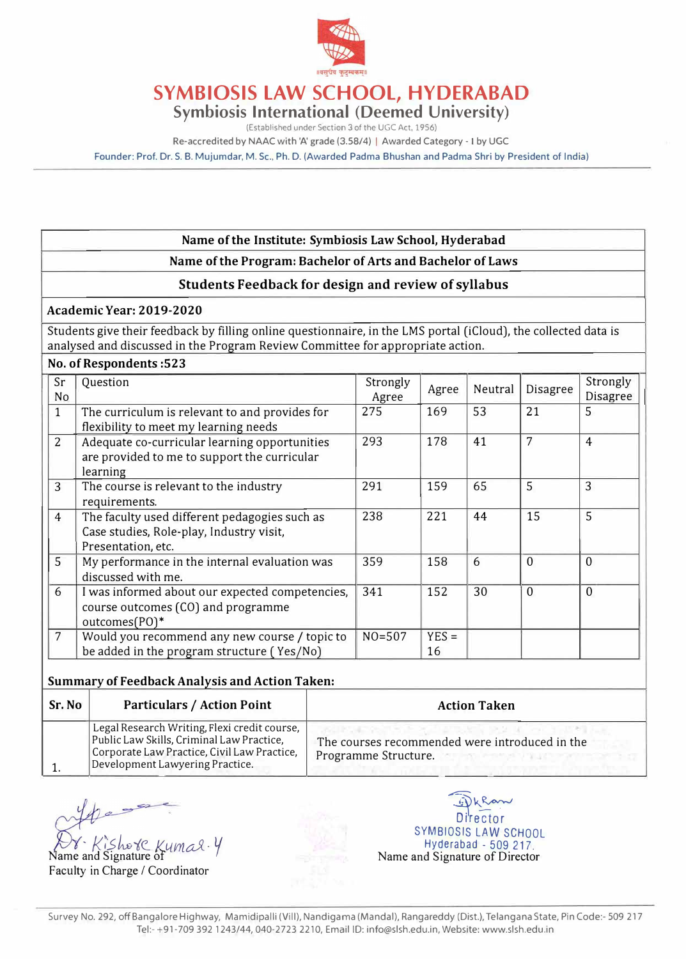

**Symbiosis International (Deemed University)** 

(Established under Section 3 of the UGC Act, 1956)

Re-accredited by NAAC with 'A' grade (3.58/4) | Awarded Category - I by UGC

Founder: Prof. Dr. S. B. Mujumdar, M.Sc., Ph.D. (Awarded Padma Bhushan and Padma Shri by President of India)

#### **Name of the Institute: Symbiosis Law School, Hyderabad**

#### **Name of the Program: Bachelor of Arts and Bachelor of Laws**

#### **Students Feedback for design and review of syllabus**

#### **Academic Year: 2019-2020**

Students give their feedback by filling online questionnaire, in the LMS portal (iCloud), the collected data is analysed and discussed in the Program Review Committee for appropriate action.

|                | No. of Respondents: 523                                                                                         |                   |               |         |                 |                      |
|----------------|-----------------------------------------------------------------------------------------------------------------|-------------------|---------------|---------|-----------------|----------------------|
| Sr<br>No       | Question                                                                                                        | Strongly<br>Agree | Agree         | Neutral | <b>Disagree</b> | Strongly<br>Disagree |
| $\mathbf{1}$   | The curriculum is relevant to and provides for<br>flexibility to meet my learning needs                         | 275               | 169           | 53      | 21              | 5                    |
| 2              | Adequate co-curricular learning opportunities<br>are provided to me to support the curricular<br>learning       | 293               | 178           | 41      | 7               | $\overline{4}$       |
| 3              | The course is relevant to the industry<br>requirements.                                                         | 291               | 159           | 65      | 5               | 3                    |
| $\overline{4}$ | The faculty used different pedagogies such as<br>Case studies, Role-play, Industry visit,<br>Presentation, etc. | 238               | 221           | 44      | 15              | 5                    |
| 5              | My performance in the internal evaluation was<br>discussed with me.                                             | 359               | 158           | 6       | $\Omega$        | $\mathbf{0}$         |
| 6              | I was informed about our expected competencies,<br>course outcomes (CO) and programme<br>outcomes(PO)*          | 341               | 152           | 30      | $\Omega$        | $\mathbf{0}$         |
| $\overline{7}$ | Would you recommend any new course / topic to<br>be added in the program structure (Yes/No)                     | $NO = 507$        | $YES =$<br>16 |         |                 |                      |

#### **Summary of Feedback Analysis and Action Taken:**

| Sr. No | <b>Particulars / Action Point</b>                                                                                                                                           | <b>Action Taken</b>                                                    |
|--------|-----------------------------------------------------------------------------------------------------------------------------------------------------------------------------|------------------------------------------------------------------------|
|        | Legal Research Writing, Flexi credit course,<br>Public Law Skills, Criminal Law Practice,<br>Corporate Law Practice, Civil Law Practice,<br>Development Lawyering Practice. | The courses recommended were introduced in the<br>Programme Structure. |

 $P$  kishove *Kumal* . *Y*<br>Name and Signature of

Faculty in Charge/ Coordinator

Director: SYMBIOSIS LAW SCHOOL Hyderabad - 509 217. Name and Signature of Director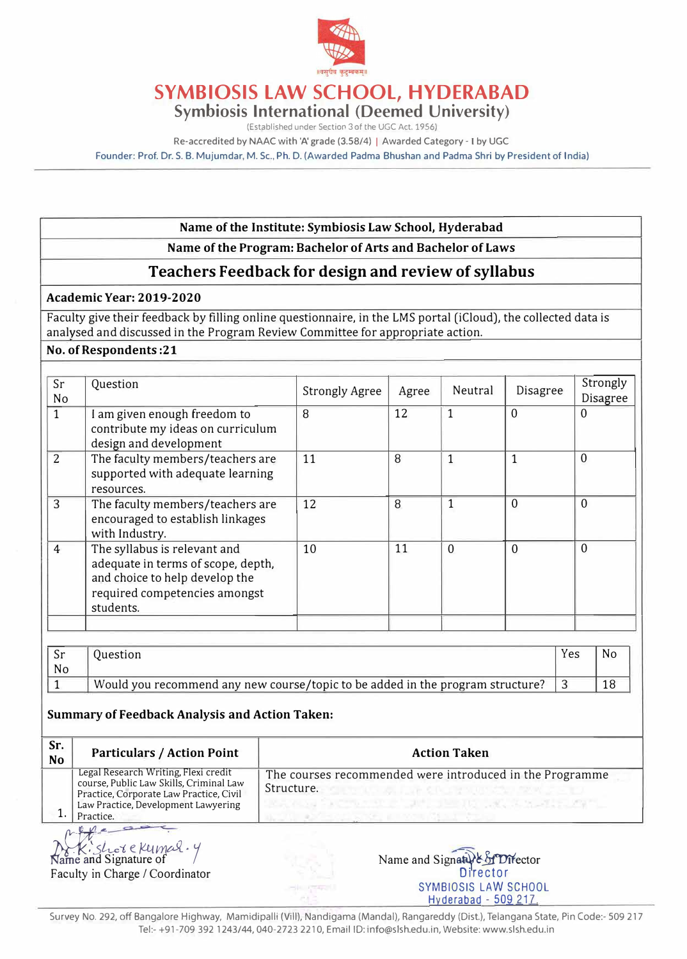

**Symbiosis International (Deemed University)** 

(Established under Section 3 of the UGC Act. 1956)

Re-accredited by NAAC with 'A' grade (3.58/4) | Awarded Category - I by UGC

Founder: Prof. Dr. S. B. Mujumdar, M.Sc., Ph. D. (Awarded Padma Bhushan and Padma Shri by President of India)

#### **Name of the Institute: Symbiosis Law School, Hyderabad**

**Name of the Program: Bachelor of Arts and Bachelor of Laws** 

## **Teachers Feedback for design and review of syllabus**

#### **Academic Year: 2019-2020**

Faculty give their feedback by filling online questionnaire, in the LMS portal (iCloud), the collected data is analysed and discussed in the Program Review Committee for appropriate action.

#### **No. of Respondents :21**

| Sr<br>No       | Question                                                                                                                                           | <b>Strongly Agree</b> | Agree | Neutral      | <b>Disagree</b> | Strongly<br>Disagree |
|----------------|----------------------------------------------------------------------------------------------------------------------------------------------------|-----------------------|-------|--------------|-----------------|----------------------|
| $\mathbf{1}$   | I am given enough freedom to<br>contribute my ideas on curriculum<br>design and development                                                        | 8                     | 12    | 1            | $\Omega$        | $\Omega$             |
| $\overline{2}$ | The faculty members/teachers are<br>supported with adequate learning<br>resources.                                                                 | 11                    | 8     | 1            | 1               | $\mathbf{0}$         |
| 3              | The faculty members/teachers are<br>encouraged to establish linkages<br>with Industry.                                                             | 12                    | 8     | $\mathbf{1}$ | $\mathbf{0}$    | $\Omega$             |
| $\overline{4}$ | The syllabus is relevant and<br>adequate in terms of scope, depth,<br>and choice to help develop the<br>required competencies amongst<br>students. | 10                    | 11    | $\Omega$     | $\Omega$        | $\theta$             |
|                |                                                                                                                                                    |                       |       |              |                 |                      |

| Juestion                                                                       | Yes | No |
|--------------------------------------------------------------------------------|-----|----|
| Would you recommend any new course/topic to be added in the program structure? |     |    |

#### **Summary of Feedback Analysis and Action Taken:**

| Sr.<br>N <sub>o</sub> | <b>Particulars / Action Point</b>                                                                                                                                              | <b>Action Taken</b>                                                                                                                                           |
|-----------------------|--------------------------------------------------------------------------------------------------------------------------------------------------------------------------------|---------------------------------------------------------------------------------------------------------------------------------------------------------------|
|                       | Legal Research Writing, Flexi credit<br>course, Public Law Skills, Criminal Law<br>Practice, Corporate Law Practice, Civil<br>Law Practice, Development Lawyering<br>Practice. | The courses recommended were introduced in the Programme<br>Structure.<br>1. 한 대체 의사는 씨 사람들이 아이는 사람들이 아니라도 했다.<br>12. 사이트 (1) 이번 보호의 사이트 이번 제가 있었으나 2017년 21일 |
|                       | Dr. K. Shere Kumar. Y                                                                                                                                                          | Name and Signative & Director                                                                                                                                 |

Faculty in Charge/ Coordinator



Survey No. 292, *off* Bangalore Highway, Mamidipalli (Viii), Nandigama (Manda!), Rangareddy (Dist.), Telangana State, Pin Code:- 509 217 Tel:- +91-709 392 1243/44, 040-2723 2210, Email ID: info@slsh.edu.in, Website: www.slsh.edu.in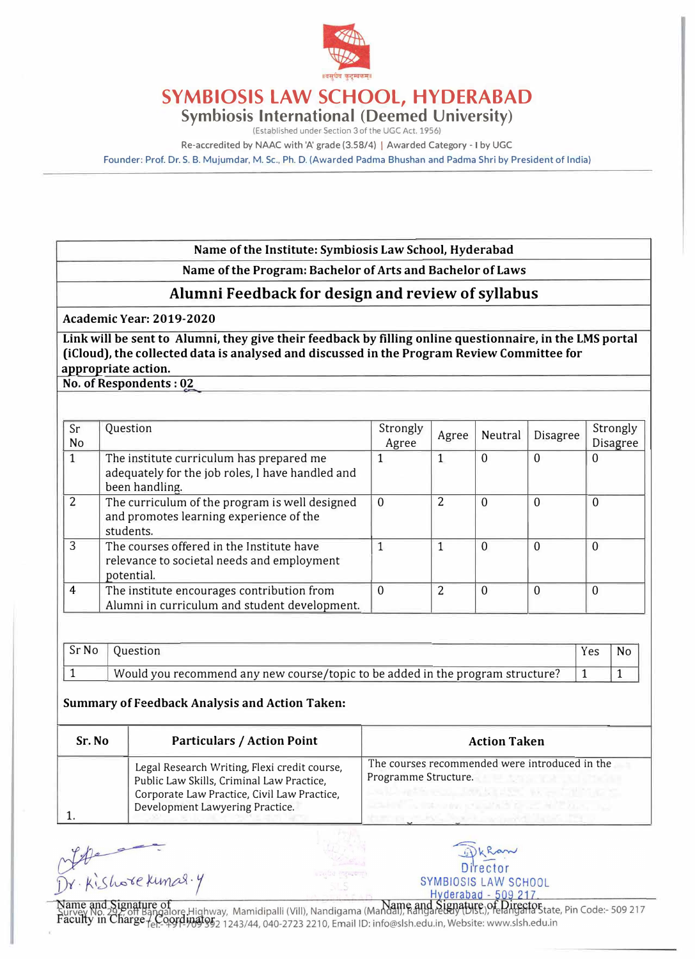

**Symbiosis International (Deemed University)** 

(Established under Section 3 of the UGC Act. 1956)

Re-accredited **by** NAAC with 'A' grade (3.58/4) I Awarded Category - I **by** UGC

Founder: Prof. Dr. S. B. Mujumdar, M.Sc., Ph.D. (Awarded Padma Bhushan and Padma Shri **by** President of India)

#### **Name of the Institute: Symbiosis Law School, Hyderabad**

**Name of the Program: Bachelor of Arts and Bachelor of Laws** 

### **Alumni Feedback for design and review of syllabus**

**Academic Year: 2019-2020** 

**Link will be sent to Alumni, they give their feedback by filling online questionnaire, in the LMS portal (iCloud), the collected data is analysed and discussed in the Program Review Committee for appropriate action.** 

**No. of Respondents : 02**

| Sr<br>No       | Question                                                                                                       | Strongly<br>Agree | Agree | Neutral  | <b>Disagree</b> | Strongly<br>Disagree |
|----------------|----------------------------------------------------------------------------------------------------------------|-------------------|-------|----------|-----------------|----------------------|
|                | The institute curriculum has prepared me<br>adequately for the job roles, I have handled and<br>been handling. |                   |       | 0        | $\Omega$        | 0                    |
| 2              | The curriculum of the program is well designed<br>and promotes learning experience of the<br>students.         | $\Omega$          | 2     | $\Omega$ | $\Omega$        | $\Omega$             |
| 3              | The courses offered in the Institute have<br>relevance to societal needs and employment<br>potential.          |                   |       | $\Omega$ | $\Omega$        | $\Omega$             |
| $\overline{4}$ | The institute encourages contribution from<br>Alumni in curriculum and student development.                    | $\Omega$          | 2     | $\Omega$ | $\Omega$        | $\Omega$             |

| Sr No | Ouestion                                                                       | Yes | <b>No</b> |
|-------|--------------------------------------------------------------------------------|-----|-----------|
|       | Would you recommend any new course/topic to be added in the program structure? |     |           |

#### **Summary of Feedback Analysis and Action Taken:**

| Sr. No | <b>Particulars / Action Point</b>                                                                                                                                           | <b>Action Taken</b>                                                    |
|--------|-----------------------------------------------------------------------------------------------------------------------------------------------------------------------------|------------------------------------------------------------------------|
|        | Legal Research Writing, Flexi credit course,<br>Public Law Skills, Criminal Law Practice,<br>Corporate Law Practice, Civil Law Practice,<br>Development Lawyering Practice. | The courses recommended were introduced in the<br>Programme Structure. |

Dkham Director SYMBIOSIS LAW SCHOOL Hyderabad - 509 217.

Offer The Kings.y

Name and Signature of<br>Survey No. 29 Folf Bangalore Highway, Mamidipalli (Vill), Nandigama (Mandal), Rangaretery (Director), Telangara State, Pin Code:- 509 217<br>Faculty in Charge (C. 9974 1789 852 1243/44, 040-2723 2210, Em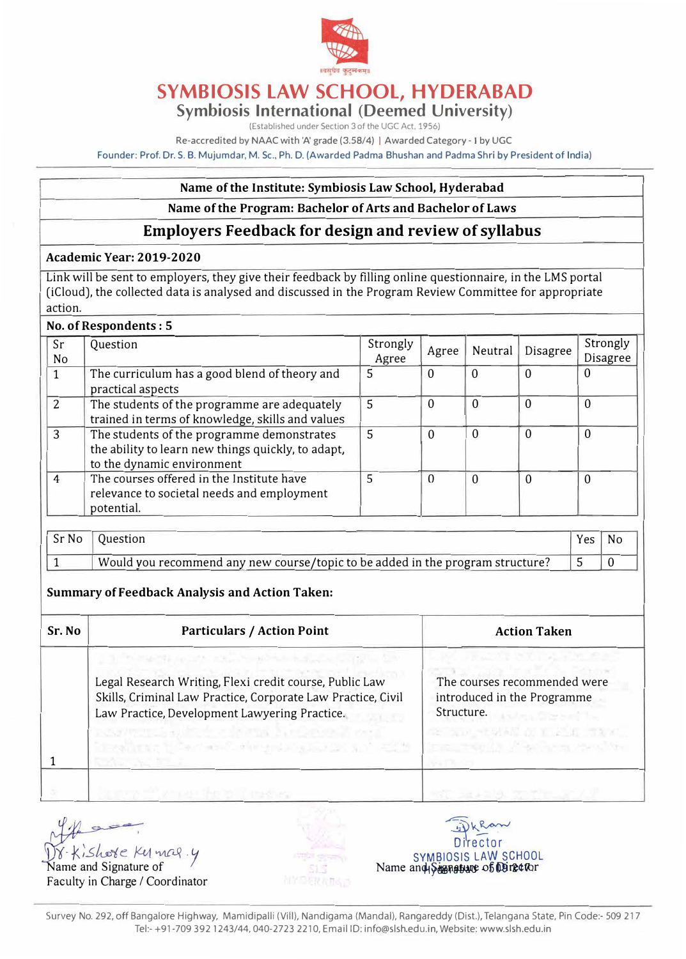

**Symbiosis International (Deemed University)** 

(Established under Section 3 of the UGC Act. 1956)

Re-accredited by NAAC with 'A' grade (3.58/4) | Awarded Category - I by UGC

Founder: Prof. Dr. S. B. Mujumdar, M.Sc., Ph.D. (Awarded Padma Bhushan and Padma Shri by President of India)

#### **Name of the Institute: Symbiosis Law School, Hyderabad**

#### **Name of the Program: Bachelor of Arts and Bachelor of Laws**

#### **Employers Feedback for design and review of syllabus**

#### **Academic Year: 2019-2020**

Link will be sent to employers, they give their feedback by filling online questionnaire, in the LMS portal (iCloud), the collected data is analysed and discussed in the Program Review Committee for appropriate action.

#### **No. of Respondents : 5**

| Sr<br>No       | Question                                                                                                                       | Strongly<br>Agree | Agree            | Neutral          | Disagree | Strongly<br>Disagree |
|----------------|--------------------------------------------------------------------------------------------------------------------------------|-------------------|------------------|------------------|----------|----------------------|
| $\mathbf{1}$   | The curriculum has a good blend of theory and<br>practical aspects                                                             | 5                 | $\overline{0}$   | $\theta$         | $\Omega$ | 0                    |
| $\overline{2}$ | The students of the programme are adequately<br>trained in terms of knowledge, skills and values                               | 5                 | $\boldsymbol{0}$ | $\boldsymbol{0}$ | 0        | $\theta$             |
| 3              | The students of the programme demonstrates<br>the ability to learn new things quickly, to adapt,<br>to the dynamic environment | 5                 | $\overline{0}$   | $\boldsymbol{0}$ | $\Omega$ | $\theta$             |
| $\overline{4}$ | The courses offered in the Institute have<br>relevance to societal needs and employment<br>potential.                          | 5                 | $\Omega$         | $\theta$         | $\Omega$ | $\boldsymbol{0}$     |

| Sr No | Ouestion                                                                       | Yes |  |
|-------|--------------------------------------------------------------------------------|-----|--|
|       | Would you recommend any new course/topic to be added in the program structure? |     |  |

#### **Summary of Feedback Analysis and Action Taken:**

| Sr. No | <b>Particulars / Action Point</b>                                                                                                                                                                                                                                                                                  | <b>Action Taken</b>                                                                                                                                                                             |
|--------|--------------------------------------------------------------------------------------------------------------------------------------------------------------------------------------------------------------------------------------------------------------------------------------------------------------------|-------------------------------------------------------------------------------------------------------------------------------------------------------------------------------------------------|
|        | n Princept, a contra anche aggiusi a construito dav<br>Legal Research Writing, Flexi credit course, Public Law<br>Skills, Criminal Law Practice, Corporate Law Practice, Civil<br>Law Practice, Development Lawyering Practice.<br>recombined, such that the constructions had<br>invitor the new stage and an ent | the contract of the contract of the contract of<br>The courses recommended were<br>introduced in the Programme<br>Structure.<br><b>CETTED STORES IN THE TEXT </b><br>ing the in Assistant South |
|        | with an agricultural construction                                                                                                                                                                                                                                                                                  |                                                                                                                                                                                                 |

Faculty in Charge/ Coordinator



Where the symplosis LAW school by the California of the California of the California of the California of the Symplosis LAW SCHOOL Name and Signature of Director Name and Signature of I SYMBIOSIS LAW SCHOOL Name an4t�lli� .05f)l)ii¢tor